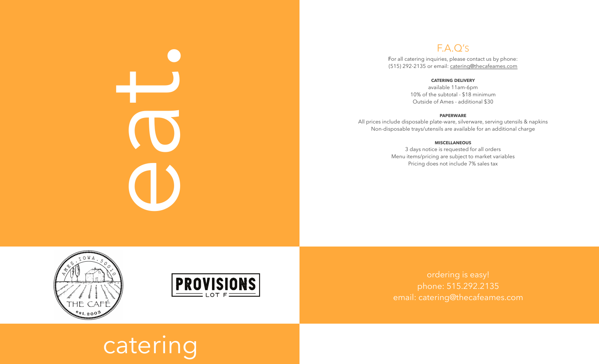# CONSERIES

# F.A.Q' S

For all catering inquiries, please contact us by phone: (515) 292-2135 or email: [catering@thecafeames.com](mailto:catering@thecafeames.com)

### **CATERING DELIVERY**

available 11am-6pm 10% of the subtotal - \$18 minimum Outside of Ames - additional \$30

### **PAPERWARE**

All prices include disposable plate-ware, silverware, serving utensils & napkins Non-disposable trays/utensils are available for an additional charge

### **MISCELLANEOUS**

3 days notice is requested for all orders Menu items/pricing are subject to market variables Pricing does not include 7% sales tax





ordering is easy! phone: 515.292.2135 email: [catering@thecafeames.com](mailto:catering@thecafeames.com)